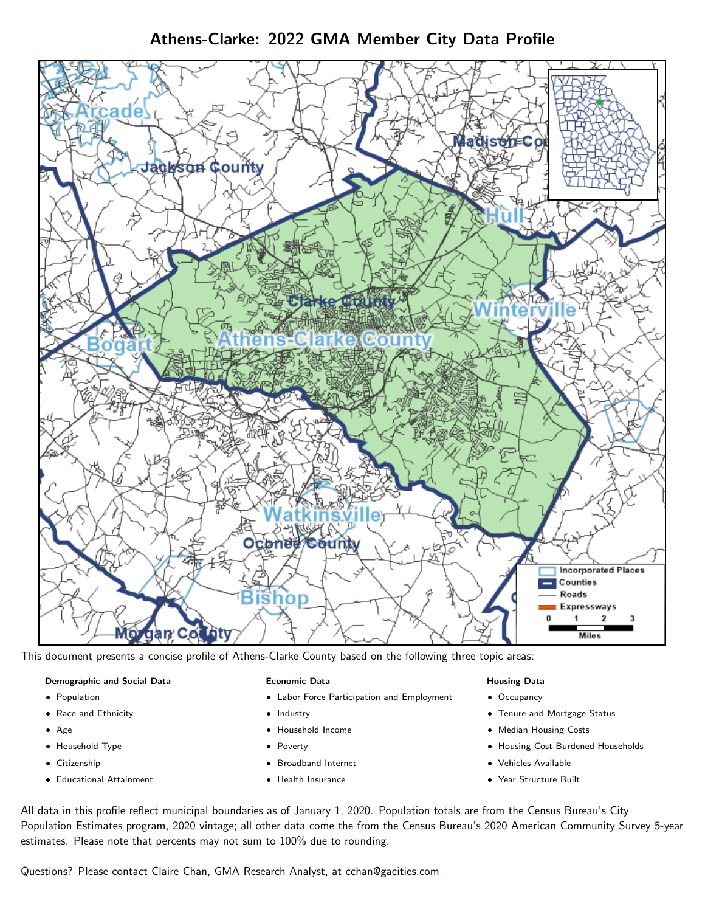# Athens-Clarke: 2022 GMA Member City Data Profile



This document presents a concise profile of Athens-Clarke County based on the following three topic areas:

### Demographic and Social Data

- **•** Population
- Race and Ethnicity
- Age
- Household Type
- **Citizenship**
- Educational Attainment

### Economic Data

- Labor Force Participation and Employment
- Industry
- Household Income
- Poverty
- Broadband Internet
- Health Insurance

### Housing Data

- Occupancy
- Tenure and Mortgage Status
- Median Housing Costs
- Housing Cost-Burdened Households
- Vehicles Available
- Year Structure Built

All data in this profile reflect municipal boundaries as of January 1, 2020. Population totals are from the Census Bureau's City Population Estimates program, 2020 vintage; all other data come the from the Census Bureau's 2020 American Community Survey 5-year estimates. Please note that percents may not sum to 100% due to rounding.

Questions? Please contact Claire Chan, GMA Research Analyst, at [cchan@gacities.com.](mailto:cchan@gacities.com)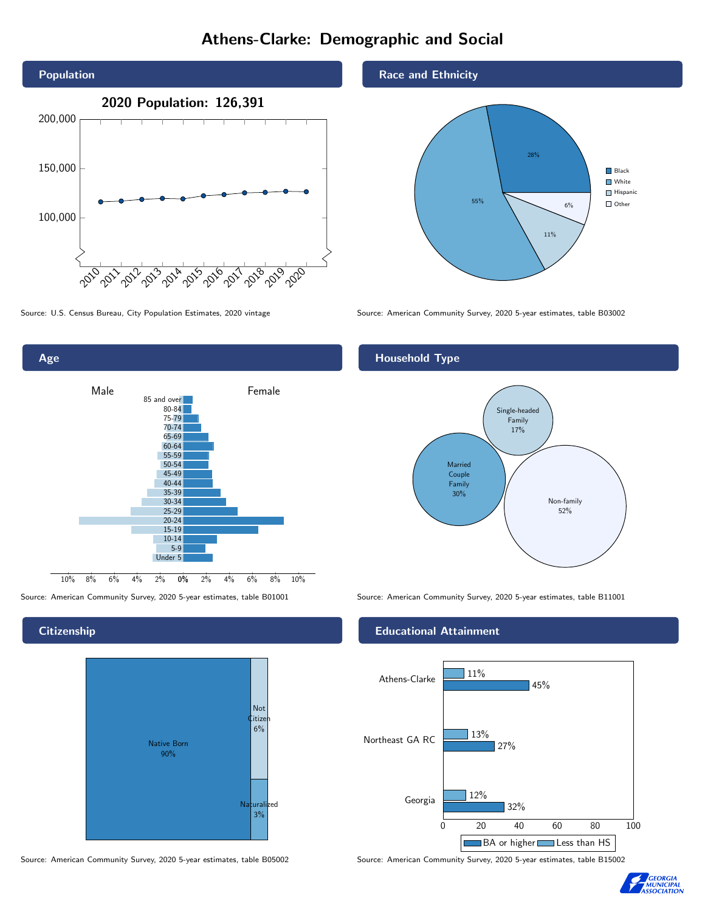# Athens-Clarke: Demographic and Social





**Citizenship** 



Source: American Community Survey, 2020 5-year estimates, table B05002 Source: American Community Survey, 2020 5-year estimates, table B15002

Race and Ethnicity



Source: U.S. Census Bureau, City Population Estimates, 2020 vintage Source: American Community Survey, 2020 5-year estimates, table B03002

## Household Type



Source: American Community Survey, 2020 5-year estimates, table B01001 Source: American Community Survey, 2020 5-year estimates, table B11001

### Educational Attainment



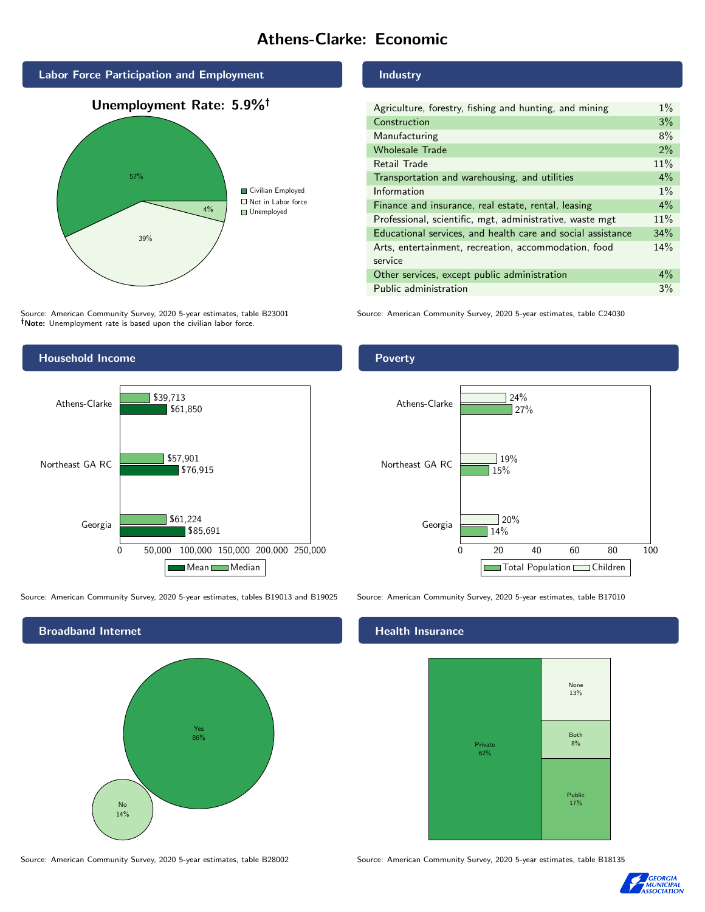# Athens-Clarke: Economic



Source: American Community Survey, 2020 5-year estimates, table B23001 Note: Unemployment rate is based upon the civilian labor force.



Source: American Community Survey, 2020 5-year estimates, tables B19013 and B19025 Source: American Community Survey, 2020 5-year estimates, table B17010



#### Industry

| Agriculture, forestry, fishing and hunting, and mining      | $1\%$ |
|-------------------------------------------------------------|-------|
| Construction                                                | 3%    |
| Manufacturing                                               | 8%    |
| <b>Wholesale Trade</b>                                      | 2%    |
| Retail Trade                                                | 11%   |
| Transportation and warehousing, and utilities               | $4\%$ |
| Information                                                 | $1\%$ |
| Finance and insurance, real estate, rental, leasing         | 4%    |
| Professional, scientific, mgt, administrative, waste mgt    | 11%   |
| Educational services, and health care and social assistance | 34%   |
| Arts, entertainment, recreation, accommodation, food        | 14%   |
| service                                                     |       |
| Other services, except public administration                | $4\%$ |
| Public administration                                       | 3%    |

Source: American Community Survey, 2020 5-year estimates, table C24030

## Poverty



# **Health Insurance**



Source: American Community Survey, 2020 5-year estimates, table B28002 Source: American Community Survey, 2020 5-year estimates, table B18135